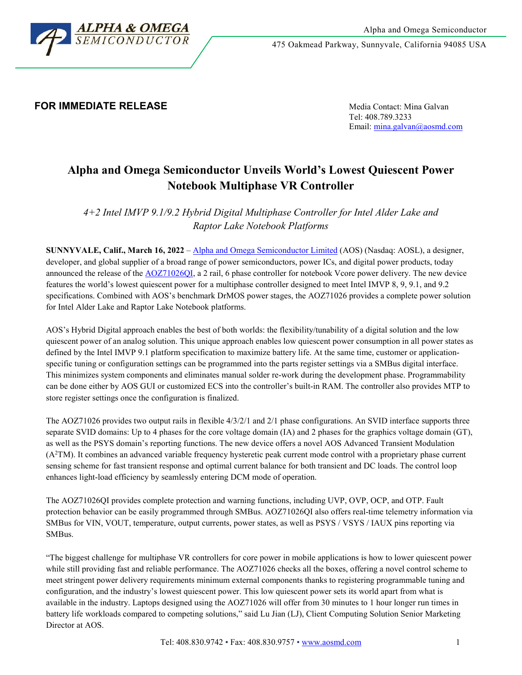

475 Oakmead Parkway, Sunnyvale, California 94085 USA

## **FOR IMMEDIATE RELEASE Media Contact: Mina Galvan**

Tel: 408.789.3233 Email[: mina.galvan@aosmd.com](mailto:mina.galvan@aosmd.com)

# **Alpha and Omega Semiconductor Unveils World's Lowest Quiescent Power Notebook Multiphase VR Controller**

*4+2 Intel IMVP 9.1/9.2 Hybrid Digital Multiphase Controller for Intel Alder Lake and Raptor Lake Notebook Platforms*

**SUNNYVALE, Calif., March 16, 2022** – Alpha and [Omega Semiconductor Limited](http://www.aosmd.com/) (AOS) (Nasdaq: AOSL), a designer, developer, and global supplier of a broad range of power semiconductors, power ICs, and digital power products, today announced the release of the [AOZ71026QI,](http://www.aosmd.com/res/product_brief/AOZ71026QI.pdf) a 2 rail, 6 phase controller for notebook Vcore power delivery. The new device features the world's lowest quiescent power for a multiphase controller designed to meet Intel IMVP 8, 9, 9.1, and 9.2 specifications. Combined with AOS's benchmark DrMOS power stages, the AOZ71026 provides a complete power solution for Intel Alder Lake and Raptor Lake Notebook platforms.

AOS's Hybrid Digital approach enables the best of both worlds: the flexibility/tunability of a digital solution and the low quiescent power of an analog solution. This unique approach enables low quiescent power consumption in all power states as defined by the Intel IMVP 9.1 platform specification to maximize battery life. At the same time, customer or applicationspecific tuning or configuration settings can be programmed into the parts register settings via a SMBus digital interface. This minimizes system components and eliminates manual solder re-work during the development phase. Programmability can be done either by AOS GUI or customized ECS into the controller's built-in RAM. The controller also provides MTP to store register settings once the configuration is finalized.

The AOZ71026 provides two output rails in flexible 4/3/2/1 and 2/1 phase configurations. An SVID interface supports three separate SVID domains: Up to 4 phases for the core voltage domain (IA) and 2 phases for the graphics voltage domain (GT), as well as the PSYS domain's reporting functions. The new device offers a novel AOS Advanced Transient Modulation (A2 TM). It combines an advanced variable frequency hysteretic peak current mode control with a proprietary phase current sensing scheme for fast transient response and optimal current balance for both transient and DC loads. The control loop enhances light-load efficiency by seamlessly entering DCM mode of operation.

The AOZ71026QI provides complete protection and warning functions, including UVP, OVP, OCP, and OTP. Fault protection behavior can be easily programmed through SMBus. AOZ71026QI also offers real-time telemetry information via SMBus for VIN, VOUT, temperature, output currents, power states, as well as PSYS / VSYS / IAUX pins reporting via SMBus.

"The biggest challenge for multiphase VR controllers for core power in mobile applications is how to lower quiescent power while still providing fast and reliable performance. The AOZ71026 checks all the boxes, offering a novel control scheme to meet stringent power delivery requirements minimum external components thanks to registering programmable tuning and configuration, and the industry's lowest quiescent power. This low quiescent power sets its world apart from what is available in the industry. Laptops designed using the AOZ71026 will offer from 30 minutes to 1 hour longer run times in battery life workloads compared to competing solutions," said Lu Jian (LJ), Client Computing Solution Senior Marketing Director at AOS.